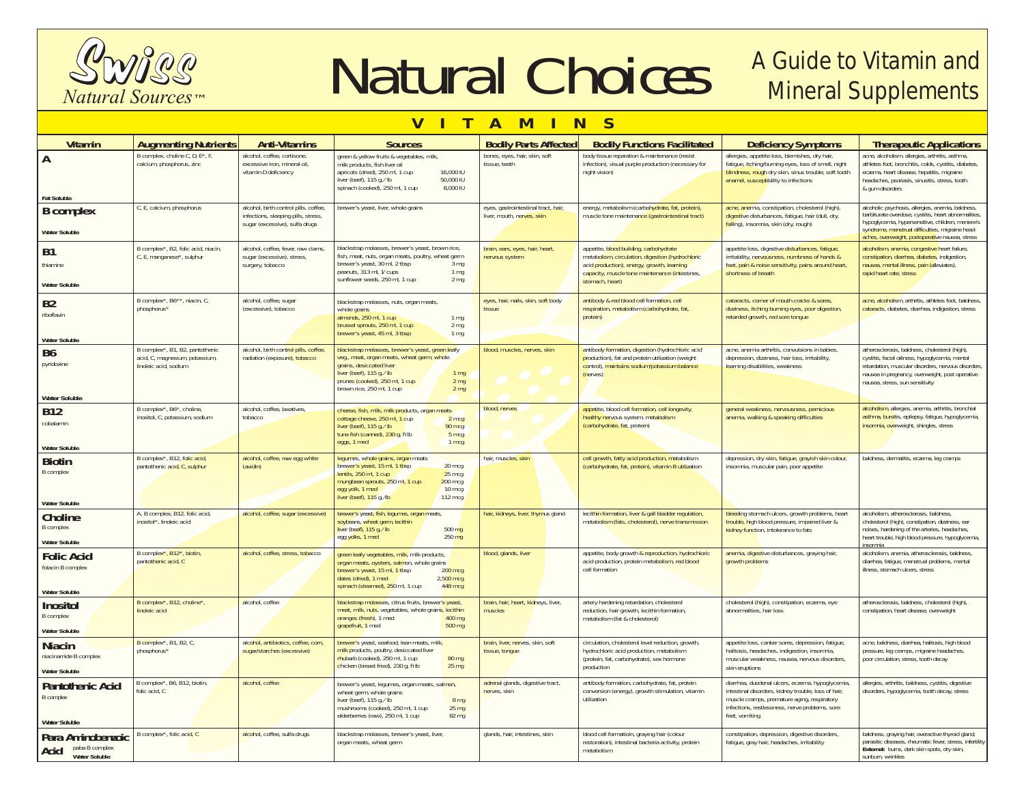

Matural Choices A Guide to Vitamin and

## **VITAMINS**

| <b>Vitamin</b>                                 | <b>Augmenting Nutrients</b>                                  | <b>Anti-Vitamins</b>                                                                | <b>Sources</b>                                                                                                                                                                                                     | <b>Bodily Parts Affected</b>                       | <b>Bodily Functions Facilitated</b>                                                                                  | <b>Deficiency Symptoms</b>                                                                                                                                                                            | <b>Therapeutic Applications</b>                                                                                                                                                                                            |
|------------------------------------------------|--------------------------------------------------------------|-------------------------------------------------------------------------------------|--------------------------------------------------------------------------------------------------------------------------------------------------------------------------------------------------------------------|----------------------------------------------------|----------------------------------------------------------------------------------------------------------------------|-------------------------------------------------------------------------------------------------------------------------------------------------------------------------------------------------------|----------------------------------------------------------------------------------------------------------------------------------------------------------------------------------------------------------------------------|
| A<br><b>Fat Soluble</b>                        | B complex, choline C, D, E*, I<br>calcium, phosphorus, zinc  | alcohol, coffee, cortisone.<br>excessive iron, mineral oil,<br>vitamin D deficiency | green & yellow fruits & vegetables, milk<br>milk products, fish liver oil<br>apricots (dried), 250 ml, 1 cup<br>16,000 IU<br>50,000 IU<br>liver (beef), 115 g, / lb<br>8.000 IU<br>spinach (cooked), 250 ml, 1 cup | bones, eyes, hair, skin, soft<br>tissue, teeth     | body tissue reparation & maintenance (resist<br>infection), visual purple production (necessary for<br>night vision) | allergies, appetite loss, blemishes, dry hair,<br>fatigue, itching/burning eyes, loss of smell, night<br>blindness, rough dry skin, sinus trouble, soft tooth<br>enamel, susceptibility to infections | acne, alcoholism, allergies, arthritis, asthma<br>athletes foot, bronchitis, colds, cystitis, diabetes,<br>eczema, heart disease, hepatitis, migraine<br>headaches, psoriasis, sinusitis, stress, tooth<br>& gum disorders |
| <b>B</b> complex                               | C, E, calcium, phosphorus                                    | alcohol, birth control pills, coffee,                                               | brewer's yeast, liver, whole grains                                                                                                                                                                                | eyes, gastrointestinal tract, hair,                | energy, metabolism (carbohydrate, fat, protein),                                                                     | acne, anemia, constipation, cholesterol (high),                                                                                                                                                       | alcoholic psychosis, allergies, anemia, baldness,                                                                                                                                                                          |
| <b>Water Soluble</b>                           |                                                              | infections, sleeping pills, stress,<br>sugar (excessive), sulfa drugs               |                                                                                                                                                                                                                    | liver, mouth, nerves, skin                         | muscle tone maintenance (gastrointestinal tract)                                                                     | digestive disturbances, fatigue, hair (dull, dry,<br>falling), insomnia, skin (dry, rough)                                                                                                            | barbiturate overdose, cystitis, heart abnormalities,<br>hypoglycemia, hypersensitive, children, meniere's<br>syndrome, menstrual difficulties, migraine head-<br>aches, overweight, postoperative nausea, stress           |
|                                                | B complex*, B2, folic acid, niacin,                          | alcohol, coffee, fever, raw clams,                                                  | blackstrap molasses, brewer's yeast, brown rice,                                                                                                                                                                   | brain, ears, eyes, hair, heart,                    | appetite, blood building, carbohydrate                                                                               | appetite loss, digestive <mark>disturbances, fatigue,</mark>                                                                                                                                          | alcoholism, anemia, congestive heart failure,                                                                                                                                                                              |
| <b>B1</b>                                      | C, E, manganese*, sulphur                                    | sugar (excessive), stress,                                                          | fish, meat, nuts, organ meats, poultry, wheat germ                                                                                                                                                                 | nervous system                                     | metabolism, circulation, digestion (hydrochloric                                                                     | irritability, nervousness, numbness of hands &                                                                                                                                                        | constipation, diarrhea, diabetes, indigestion,                                                                                                                                                                             |
| thiamine                                       |                                                              | surgery, tobacco                                                                    | brewer's yeast, 30 ml, 2 tbsp<br>3 <sub>mq</sub><br>peanuts, 313 ml, 1/ cups<br>1 <sub>mg</sub>                                                                                                                    |                                                    | acid production), energy, growth, learning<br>capacity, muscle tone maintenance (intestines,                         | feet, pain & noise sensitivity, pains around heart,<br>shortness of breath                                                                                                                            | nausea, mental illness, pain (alleviates),<br>rapid heart rate, stress                                                                                                                                                     |
| <b>Water Soluble</b>                           |                                                              |                                                                                     | sunflower seeds, 250 ml, 1 cup<br>2 <sub>mq</sub>                                                                                                                                                                  |                                                    | stomach, heart)                                                                                                      |                                                                                                                                                                                                       |                                                                                                                                                                                                                            |
| <b>B2</b>                                      | B complex*, B6**, niacin, C,                                 | alcohol, coffee, sugar                                                              | blackstrap molasses, nuts, organ meats,                                                                                                                                                                            | eyes, hair, nails, skin, soft body                 | antibody & red blood cell formation, cell                                                                            | cataracts, corner of mouth cracks & sores,                                                                                                                                                            | acne, alcoholism, arthritis, athletes foot, baldness,                                                                                                                                                                      |
| riboflavin                                     | phosphorus*                                                  | (excessive), tobacco                                                                | whole grains<br>almonds, 250 ml, 1 cup<br>1 <sub>mg</sub>                                                                                                                                                          | tissue                                             | respiration, metabolism (carbohydrate, fat,<br>protein)                                                              | dizziness, itching burning eyes, poor digestion,<br>retarded growth, red sore tonque                                                                                                                  | cataracts, diabetes, diarrhea, indigestion, stress                                                                                                                                                                         |
|                                                |                                                              |                                                                                     | brussel sprouts, 250 ml, 1 cup<br>2 <sub>mq</sub>                                                                                                                                                                  |                                                    |                                                                                                                      |                                                                                                                                                                                                       |                                                                                                                                                                                                                            |
| <b>Water Soluble</b>                           |                                                              |                                                                                     | brewer's yeast, 45 ml, 3 tbsp<br>1 <sub>mq</sub>                                                                                                                                                                   |                                                    |                                                                                                                      |                                                                                                                                                                                                       |                                                                                                                                                                                                                            |
| B <sub>6</sub>                                 | B complex*, B1, B2, pantothenic                              | alcohol, birth control pills, coffee,                                               | blackstrap molasses, brewer's yeast, green leafy                                                                                                                                                                   | blood, muscles, nerves, skin                       | antibody formation, digestion (hydrochloric acid                                                                     | acne, anemia arthritis, convulsions in babies,                                                                                                                                                        | atherosclerosis, baldness, cholesterol (high),                                                                                                                                                                             |
| pyridoxine                                     | acid, C, magnesium, potassium,<br>linoleic acid, sodium      | radiation (exposure), tobacco                                                       | veg., meat, organ meats, wheat germ, whole<br>grains, desiccated liver                                                                                                                                             |                                                    | production), fat and protein utilization (weight<br>control), maintains sodium/potassium balance                     | depression, dizziness, hair loss, irritability,<br>learning disabilities, weakness                                                                                                                    | cystitis, facial oiliness, hypoglycemia, mental<br>retardation, muscular disorders, nervous disorders,                                                                                                                     |
|                                                |                                                              |                                                                                     | liver (beef), 115 q, / lb<br>1 <sub>mq</sub><br>prunes (cooked), 250 ml, 1 cup<br>2 <sub>mg</sub>                                                                                                                  |                                                    | (nerves)                                                                                                             |                                                                                                                                                                                                       | nausea in pregnancy, overweight, post operative                                                                                                                                                                            |
|                                                |                                                              |                                                                                     | brown rice, 250 ml, 1 cup<br>2 <sub>mg</sub>                                                                                                                                                                       |                                                    |                                                                                                                      |                                                                                                                                                                                                       | nausea, stress, sun sensitivity                                                                                                                                                                                            |
| <b>Water Soluble</b>                           |                                                              |                                                                                     |                                                                                                                                                                                                                    |                                                    |                                                                                                                      |                                                                                                                                                                                                       |                                                                                                                                                                                                                            |
| <b>B12</b>                                     | B complex*, B6*, choline,<br>inositol, C, potassium, sodium  | alcohol, coffee, laxatives,<br>tobacco                                              | cheese, fish, milk, milk products, organ meats                                                                                                                                                                     | blood, nerves                                      | appetite, blood cell formation, cell longevity,<br>healthy nervous system, metabolism                                | general weakness, nervousness, pernicious<br>anemia, walking & speaking difficulties                                                                                                                  | alcoholism, allergies, anemia, arthritis, bronchial<br>asthma, bursitis, epilepsy, fatigue, hypoglycemia,                                                                                                                  |
| cobalamin                                      |                                                              |                                                                                     | cottage cheese, 250 ml, 1 cup<br>2 mcg<br>liver (beef), 115 g, / lb<br>90 mcg                                                                                                                                      |                                                    | (carbohydrate, fat, protein)                                                                                         |                                                                                                                                                                                                       | insomnia, overweight, shingles, stress                                                                                                                                                                                     |
|                                                |                                                              |                                                                                     | tuna fish (canned), 230 g, fi lb<br>5 mcg<br>eggs, 1 med<br>1 <sub>mc</sub>                                                                                                                                        |                                                    |                                                                                                                      |                                                                                                                                                                                                       |                                                                                                                                                                                                                            |
| <b>Water Soluble</b>                           |                                                              |                                                                                     |                                                                                                                                                                                                                    |                                                    |                                                                                                                      |                                                                                                                                                                                                       |                                                                                                                                                                                                                            |
| <b>Biotin</b>                                  | B complex*, B12, folic acid,<br>pantothenic acid, C, sulphur | alcohol, coffee, raw egg white<br>(avidin)                                          | legumes, whole grains, organ meats<br>brewer's yeast, 15 ml, 1 tbsp<br>20 mcg                                                                                                                                      | hair, muscles, skin                                | cell growth, fatty acid production, metabolism<br>(carbohydrate, fat, protein), vitamin B utilization                | depression, dry skin, fatigue, grayish skin colour,<br>insomnia, muscular pain, poor appetite                                                                                                         | baldness, dermatitis, eczema, leg cramps                                                                                                                                                                                   |
| <b>B</b> complex                               |                                                              |                                                                                     | lentils, 250 ml, 1 cup<br>$25 \text{ mcg}$                                                                                                                                                                         |                                                    |                                                                                                                      |                                                                                                                                                                                                       |                                                                                                                                                                                                                            |
|                                                |                                                              |                                                                                     | mungbean sprouts, 250 ml, 1 cup<br>$200$ mcg<br>egg yolk, 1 med<br>10 mcg                                                                                                                                          |                                                    |                                                                                                                      |                                                                                                                                                                                                       |                                                                                                                                                                                                                            |
| <b>Water Soluble</b>                           |                                                              |                                                                                     | liver (beef), 115 g, /b<br>112 mcg                                                                                                                                                                                 |                                                    |                                                                                                                      |                                                                                                                                                                                                       |                                                                                                                                                                                                                            |
| Choline                                        | A, B complex, B12, folic acid,                               | alcohol, coffee, sugar (excessive)                                                  | brewer's yeast, fish, legumes, organ meats,                                                                                                                                                                        | hair, kidneys, liver, thymus gland                 | lecithin formation, liver & gall bladder regulation,                                                                 | bleeding stomach ulcers, growth problems, heart                                                                                                                                                       | alcoholism, atherosclerosis, baldness,                                                                                                                                                                                     |
| <b>B</b> complex                               | inositol*, linoleic acid                                     |                                                                                     | soybeans, wheat germ, lecithin                                                                                                                                                                                     |                                                    | metabolism (fats, cholesterol), nerve transmission                                                                   | trouble, high blood pressure, impaired liver &                                                                                                                                                        | cholesterol (high), constipation, dizziness, ear                                                                                                                                                                           |
|                                                |                                                              |                                                                                     | liver (beef), 115 g, / lb<br>500 mg<br>egg yolks, 1 med<br>$250 \text{ mg}$                                                                                                                                        |                                                    |                                                                                                                      | kidney function, intolerance to fats                                                                                                                                                                  | noises, hardening of the arteries, headaches,<br>heart trouble, high blood pressure, hypoglycemia,                                                                                                                         |
| <b>Water Soluble</b>                           | B complex*, B12*, biotin,                                    | alcohol, coffee, stress, tobacco                                                    |                                                                                                                                                                                                                    | blood, glands, liver                               | appetite, body growth & reproduction, hydrochloric                                                                   | anemia, digestive disturbances, graying hair,                                                                                                                                                         | insomnia<br>alcoholism, anemia, atherosclerosis, baldness,                                                                                                                                                                 |
| <b>Folic Acid</b>                              | pantothenic acid, C                                          |                                                                                     | green leafy vegetables, milk, milk products,<br>organ meats, oysters, salmon, whole grains                                                                                                                         |                                                    | acid production, protein metabolism, red blood                                                                       | growth problems                                                                                                                                                                                       | diarrhea, fatigue, menstrual problems, mental                                                                                                                                                                              |
| folacin B complex                              |                                                              |                                                                                     | brewer's yeast, 15 ml, 1 tbsp<br>200 mcg<br>dates (dried), 1 med                                                                                                                                                   |                                                    | cell formation                                                                                                       |                                                                                                                                                                                                       | illness, stomach ulcers, stress                                                                                                                                                                                            |
|                                                |                                                              |                                                                                     | $2,500$ mcg<br>spinach (steamed), 250 ml, 1 cup<br>448 mcg                                                                                                                                                         |                                                    |                                                                                                                      |                                                                                                                                                                                                       |                                                                                                                                                                                                                            |
| <b>Water Soluble</b>                           | B complex*, B12, choline*,                                   | alcohol, coffee                                                                     | blackstrap molasses, citrus fruits, brewer's yeast,                                                                                                                                                                | brain, hair, heart, kidneys, liver,                | artery hardening retardation, cholesterol                                                                            | cholesterol (high), constipation, eczema, eye                                                                                                                                                         | atherosclerosis, baldness, cholesterol (high),                                                                                                                                                                             |
| Inositol                                       | linoleic acid                                                |                                                                                     | meat, milk, nuts, vegetables, whole grains, lecithin                                                                                                                                                               | muscles                                            | reduction, hair growth, lecithin formation,                                                                          | abnormalities, hair loss                                                                                                                                                                              | constipation, heart disease, overweight                                                                                                                                                                                    |
| <b>B</b> complex                               |                                                              |                                                                                     | oranges (fresh), 1 med<br>400 mg<br>grapefruit, 1 med<br>$500 \text{ ma}$                                                                                                                                          |                                                    | metabolism (fat & cholesterol)                                                                                       |                                                                                                                                                                                                       |                                                                                                                                                                                                                            |
| <b>Water Soluble</b>                           |                                                              |                                                                                     |                                                                                                                                                                                                                    |                                                    |                                                                                                                      |                                                                                                                                                                                                       |                                                                                                                                                                                                                            |
| <b>Niacin</b>                                  | B complex*, B1, B2, C,<br>phosphorus*                        | alcohol, antibiotics, coffee, corn,<br>sugar/starches (excessive)                   | brewer's yeast, seafood, lean meats, milk,<br>milk products, poultry, desiccated liver                                                                                                                             | brain, liver, nerves, skin, soft<br>tissue, tongue | circulation, cholesterol level reduction, growth,<br>hydrochloric acid production, metabolism                        | appetite loss, canker sores, depression, fatigue,<br>halitosis, headaches, indigestion, insomnia,                                                                                                     | acne, baldness, diarrhea, halitosis, high blood<br>pressure, leg cramps, migraine headaches,                                                                                                                               |
| niacinamide B complex                          |                                                              |                                                                                     | rhubarb (cooked), 250 ml, 1 cup<br>80 <sub>ma</sub>                                                                                                                                                                |                                                    | (protein, fat, carbohydrate), sex hormone                                                                            | muscular weakness, nausea, nervous disorders,                                                                                                                                                         | poor circulation, stress, tooth decay                                                                                                                                                                                      |
| <b>Water Soluble</b>                           |                                                              |                                                                                     | chicken (breast fried), 230 g, fi lb<br>$25 \text{ mg}$                                                                                                                                                            |                                                    | production                                                                                                           | skin eruptions                                                                                                                                                                                        |                                                                                                                                                                                                                            |
| <b>Pantothenic Acid</b>                        | B complex*, B6, B12, biotin,                                 | alcohol, coffee                                                                     | brewer's yeast, legumes, organ meats, salmon,                                                                                                                                                                      | adrenal glands, digestive tract,                   | antibody formation, carbohydrate, fat, protein                                                                       | diarrhea, duodenal ulcers, eczema, hypoglycemia                                                                                                                                                       | allergies, arthritis, baldness, cystitis, digestive                                                                                                                                                                        |
| <b>B</b> complex                               | folic acid. C                                                |                                                                                     | wheat germ, whole grains<br>liver (beef), 115 g, / lb<br>8 <sub>mg</sub>                                                                                                                                           | nerves, skin                                       | conversion (energy), growth stimulation, vitamin<br>utilization                                                      | intestinal disorders, kidney trouble, loss of hair,<br>muscle cramps, premature aging, respiratory                                                                                                    | disorders, hypoglycemia, tooth decay, stress                                                                                                                                                                               |
|                                                |                                                              |                                                                                     | mushrooms (cooked), 250 ml, 1 cup<br>25 <sub>mg</sub>                                                                                                                                                              |                                                    |                                                                                                                      | infections, restlessness, nerve problems, sore                                                                                                                                                        |                                                                                                                                                                                                                            |
| <b>Water Soluble</b>                           |                                                              |                                                                                     | elderberries (raw), 250 ml, 1 cup<br>$82 \, \text{mg}$                                                                                                                                                             |                                                    |                                                                                                                      | feet, vomiting                                                                                                                                                                                        |                                                                                                                                                                                                                            |
| Para Aminobenzoic                              | B complex*, folic acid, C                                    | alcohol, coffee, sulfa drugs                                                        | blackstrap molasses, brewer's yeast, liver,                                                                                                                                                                        | glands, hair, intestines, skin                     | blood cell formatioin, graying hair (colour                                                                          | constipation, depression, digestive disorders,                                                                                                                                                        | baldness, graying hair, overactive thyroid gland,                                                                                                                                                                          |
| paba B complex<br>Acid<br><b>Water Soluble</b> |                                                              |                                                                                     | organ meats, wheat germ                                                                                                                                                                                            |                                                    | restoration), intestinal bacteria activity, protein<br>metabolism                                                    | fatigue, gray hair, headaches, irritability                                                                                                                                                           | parasitic diseases, rheumatic fever, stress, infertility<br>External: burns, dark skin spots, dry skin,<br>sunburn, wrinkles                                                                                               |